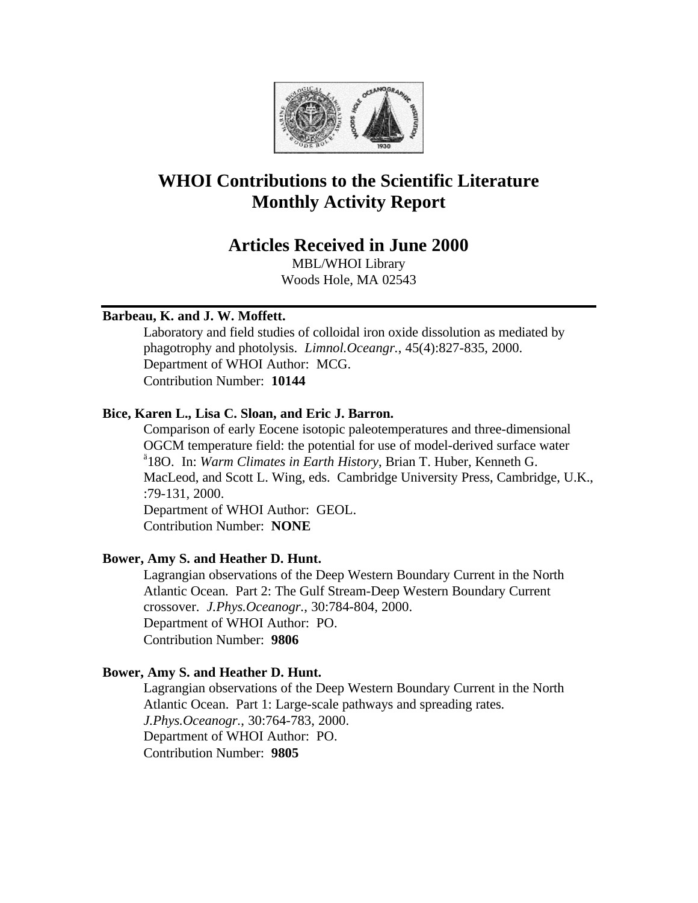

# **WHOI Contributions to the Scientific Literature Monthly Activity Report**

## **Articles Received in June 2000**

MBL/WHOI Library Woods Hole, MA 02543

## **Barbeau, K. and J. W. Moffett.**

Laboratory and field studies of colloidal iron oxide dissolution as mediated by phagotrophy and photolysis. *Limnol.Oceangr.*, 45(4):827-835, 2000. Department of WHOI Author: MCG. Contribution Number: **10144**

## **Bice, Karen L., Lisa C. Sloan, and Eric J. Barron.**

Comparison of early Eocene isotopic paleotemperatures and three-dimensional OGCM temperature field: the potential for use of model-derived surface water ä 18O. In: *Warm Climates in Earth History*, Brian T. Huber, Kenneth G. MacLeod, and Scott L. Wing, eds. Cambridge University Press, Cambridge, U.K., :79-131, 2000.

Department of WHOI Author: GEOL. Contribution Number: **NONE**

## **Bower, Amy S. and Heather D. Hunt.**

Lagrangian observations of the Deep Western Boundary Current in the North Atlantic Ocean. Part 2: The Gulf Stream-Deep Western Boundary Current crossover. *J.Phys.Oceanogr.*, 30:784-804, 2000. Department of WHOI Author: PO. Contribution Number: **9806**

## **Bower, Amy S. and Heather D. Hunt.**

Lagrangian observations of the Deep Western Boundary Current in the North Atlantic Ocean. Part 1: Large-scale pathways and spreading rates. *J.Phys.Oceanogr.*, 30:764-783, 2000. Department of WHOI Author: PO. Contribution Number: **9805**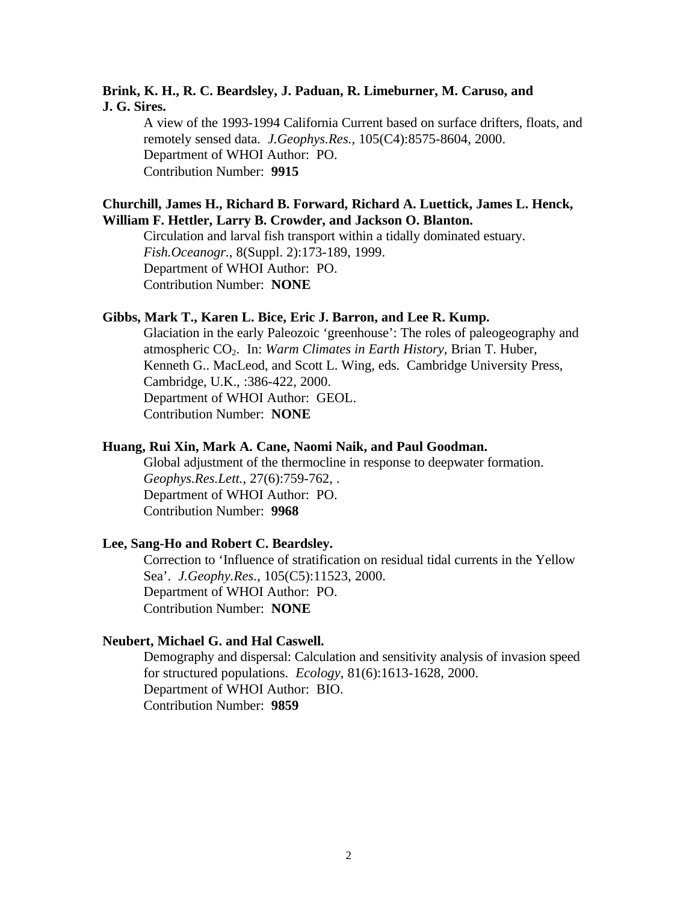## **Brink, K. H., R. C. Beardsley, J. Paduan, R. Limeburner, M. Caruso, and J. G. Sires.**

A view of the 1993-1994 California Current based on surface drifters, floats, and remotely sensed data. *J.Geophys.Res.*, 105(C4):8575-8604, 2000. Department of WHOI Author: PO. Contribution Number: **9915**

#### **Churchill, James H., Richard B. Forward, Richard A. Luettick, James L. Henck, William F. Hettler, Larry B. Crowder, and Jackson O. Blanton.**

Circulation and larval fish transport within a tidally dominated estuary. *Fish.Oceanogr.*, 8(Suppl. 2):173-189, 1999. Department of WHOI Author: PO. Contribution Number: **NONE**

#### **Gibbs, Mark T., Karen L. Bice, Eric J. Barron, and Lee R. Kump.**

Glaciation in the early Paleozoic 'greenhouse': The roles of paleogeography and atmospheric CO2. In: *Warm Climates in Earth History,* Brian T. Huber, Kenneth G.. MacLeod, and Scott L. Wing, eds. Cambridge University Press, Cambridge, U.K., :386-422, 2000. Department of WHOI Author: GEOL. Contribution Number: **NONE**

#### **Huang, Rui Xin, Mark A. Cane, Naomi Naik, and Paul Goodman.**

Global adjustment of the thermocline in response to deepwater formation. *Geophys.Res.Lett.*, 27(6):759-762, . Department of WHOI Author: PO. Contribution Number: **9968**

#### **Lee, Sang-Ho and Robert C. Beardsley.**

Correction to 'Influence of stratification on residual tidal currents in the Yellow Sea'. *J.Geophy.Res.*, 105(C5):11523, 2000. Department of WHOI Author: PO. Contribution Number: **NONE**

#### **Neubert, Michael G. and Hal Caswell.**

Demography and dispersal: Calculation and sensitivity analysis of invasion speed for structured populations. *Ecology*, 81(6):1613-1628, 2000. Department of WHOI Author: BIO. Contribution Number: **9859**